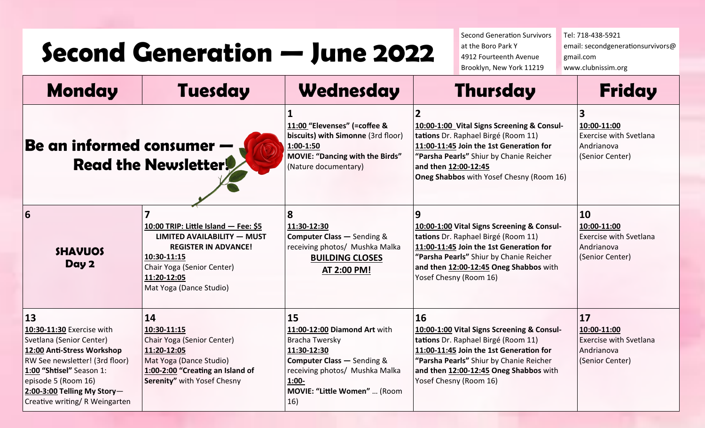## **Second Generation — June 2022**

Second Generation Survivors at the Boro Park Y 4912 Fourteenth Avenue Brooklyn, New York 11219

Tel: 718-438-5921 email: secondgenerationsurvivors@ gmail.com www.clubnissim.org

| <b>Monday</b>                                                                                                                                                                                                                                     | <b>Tuesday</b>                                                                                                                                                                                   | Wednesday                                                                                                                                                                                         | <b>Thursday</b>                                                                                                                                                                                                                                          | <b>Friday</b>                                                                                 |
|---------------------------------------------------------------------------------------------------------------------------------------------------------------------------------------------------------------------------------------------------|--------------------------------------------------------------------------------------------------------------------------------------------------------------------------------------------------|---------------------------------------------------------------------------------------------------------------------------------------------------------------------------------------------------|----------------------------------------------------------------------------------------------------------------------------------------------------------------------------------------------------------------------------------------------------------|-----------------------------------------------------------------------------------------------|
| Be an informed consumer -<br><b>Read the Newsletter!</b>                                                                                                                                                                                          |                                                                                                                                                                                                  | 11:00 "Elevenses" (=coffee &<br>biscuits) with Simonne (3rd floor)<br>1:00-1:50<br><b>MOVIE: "Dancing with the Birds"</b><br>(Nature documentary)                                                 | 10:00-1:00 Vital Signs Screening & Consul-<br>tations Dr. Raphael Birgé (Room 11)<br>11:00-11:45 Join the 1st Generation for<br>"Parsha Pearls" Shiur by Chanie Reicher<br>and then 12:00-12:45<br>Oneg Shabbos with Yosef Chesny (Room 16)              | 3<br>10:00-11:00<br><b>Exercise with Svetlana</b><br>Andrianova<br>(Senior Center)            |
| 6<br><b>SHAVUOS</b><br>Day 2                                                                                                                                                                                                                      | 10:00 TRIP: Little Island - Fee: \$5<br><b>LIMITED AVAILABILITY - MUST</b><br><b>REGISTER IN ADVANCE!</b><br>10:30-11:15<br>Chair Yoga (Senior Center)<br>11:20-12:05<br>Mat Yoga (Dance Studio) | 8<br>11:30-12:30<br><b>Computer Class - Sending &amp;</b><br>receiving photos/ Mushka Malka<br><b>BUILDING CLOSES</b><br>AT 2:00 PM!                                                              | 9<br>10:00-1:00 Vital Signs Screening & Consul-<br>tations Dr. Raphael Birgé (Room 11)<br>11:00-11:45 Join the 1st Generation for<br>"Parsha Pearls" Shiur by Chanie Reicher<br>and then 12:00-12:45 Oneg Shabbos with<br>Yosef Chesny (Room 16)         | 10<br>10:00-11:00<br><b>Exercise with Svetlana</b><br>Andrianova<br>(Senior Center)           |
| 13<br>10:30-11:30 Exercise with<br>Svetlana (Senior Center)<br>12:00 Anti-Stress Workshop<br>RW See newsletter! (3rd floor)<br>1:00 "Shtisel" Season 1:<br>episode 5 (Room 16)<br>$2:00-3:00$ Telling My Story-<br>Creative writing/ R Weingarten | 14<br>10:30-11:15<br>Chair Yoga (Senior Center)<br>11:20-12:05<br>Mat Yoga (Dance Studio)<br>1:00-2:00 "Creating an Island of<br>Serenity" with Yosef Chesny                                     | 15<br>11:00-12:00 Diamond Art with<br>Bracha Twersky<br>11:30-12:30<br><b>Computer Class - Sending &amp;</b><br>receiving photos/ Mushka Malka<br>$1:00 -$<br>MOVIE: "Little Women"  (Room<br>16) | <b>16</b><br>10:00-1:00 Vital Signs Screening & Consul-<br>tations Dr. Raphael Birgé (Room 11)<br>11:00-11:45 Join the 1st Generation for<br>"Parsha Pearls" Shiur by Chanie Reicher<br>and then 12:00-12:45 Oneg Shabbos with<br>Yosef Chesny (Room 16) | $\boxed{17}$<br>10:00-11:00<br><b>Exercise with Svetlana</b><br>Andrianova<br>(Senior Center) |